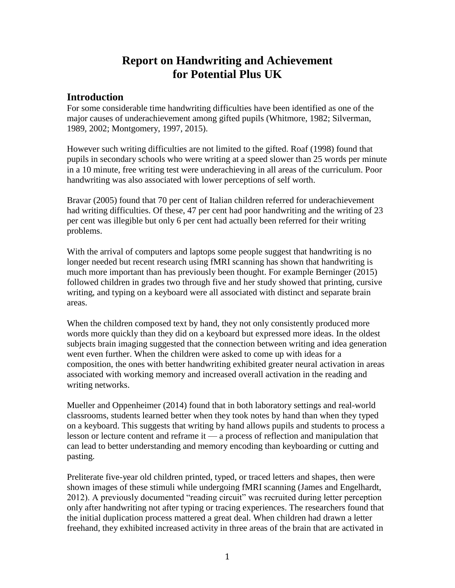# **Report on Handwriting and Achievement for Potential Plus UK**

### **Introduction**

For some considerable time handwriting difficulties have been identified as one of the major causes of underachievement among gifted pupils (Whitmore, 1982; Silverman, 1989, 2002; Montgomery, 1997, 2015).

However such writing difficulties are not limited to the gifted. Roaf (1998) found that pupils in secondary schools who were writing at a speed slower than 25 words per minute in a 10 minute, free writing test were underachieving in all areas of the curriculum. Poor handwriting was also associated with lower perceptions of self worth.

Bravar (2005) found that 70 per cent of Italian children referred for underachievement had writing difficulties. Of these, 47 per cent had poor handwriting and the writing of 23 per cent was illegible but only 6 per cent had actually been referred for their writing problems.

With the arrival of computers and laptops some people suggest that handwriting is no longer needed but recent research using fMRI scanning has shown that handwriting is much more important than has previously been thought. For example Berninger (2015) followed children in grades two through five and her study showed that printing, cursive writing, and typing on a keyboard were all associated with distinct and separate brain areas.

When the children composed text by hand, they not only consistently produced more words more quickly than they did on a keyboard but expressed more ideas. In the oldest subjects brain imaging suggested that the connection between writing and idea generation went even further. When the children were asked to come up with ideas for a composition, the ones with better handwriting exhibited greater neural activation in areas associated with working memory and increased overall activation in the reading and writing networks.

Mueller and Oppenheimer (2014) found that in both laboratory settings and real-world classrooms, students learned better when they took notes by hand than when they typed on a keyboard. This suggests that writing by hand allows pupils and students to process a lesson or lecture content and reframe it — a process of reflection and manipulation that can lead to better understanding and memory encoding than keyboarding or cutting and pasting.

Preliterate five-year old children printed, typed, or traced letters and shapes, then were shown images of these stimuli while undergoing fMRI scanning (James and Engelhardt, 2012). A previously documented "reading circuit" was recruited during letter perception only after handwriting not after typing or tracing experiences. The researchers found that the initial duplication process mattered a great deal. When children had drawn a letter freehand, they exhibited increased activity in three areas of the brain that are activated in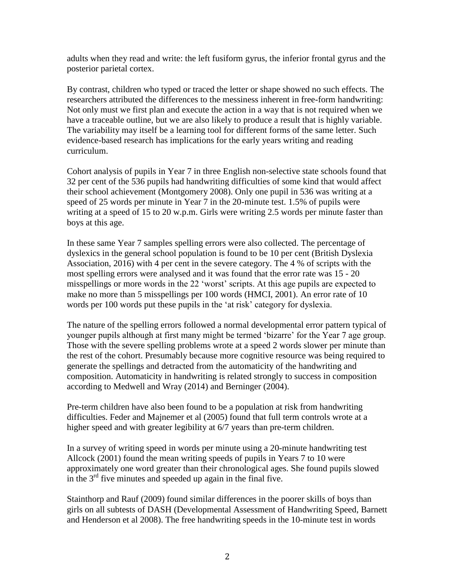adults when they read and write: the left fusiform gyrus, the inferior frontal gyrus and the posterior parietal cortex.

By contrast, children who typed or traced the letter or shape showed no such effects. The researchers attributed the differences to the messiness inherent in free-form handwriting: Not only must we first plan and execute the action in a way that is not required when we have a traceable outline, but we are also likely to produce a result that is highly variable. The variability may itself be a learning tool for different forms of the same letter. Such evidence-based research has implications for the early years writing and reading curriculum.

Cohort analysis of pupils in Year 7 in three English non-selective state schools found that 32 per cent of the 536 pupils had handwriting difficulties of some kind that would affect their school achievement (Montgomery 2008). Only one pupil in 536 was writing at a speed of 25 words per minute in Year 7 in the 20-minute test. 1.5% of pupils were writing at a speed of 15 to 20 w.p.m. Girls were writing 2.5 words per minute faster than boys at this age.

In these same Year 7 samples spelling errors were also collected. The percentage of dyslexics in the general school population is found to be 10 per cent (British Dyslexia Association, 2016) with 4 per cent in the severe category. The 4 % of scripts with the most spelling errors were analysed and it was found that the error rate was 15 - 20 misspellings or more words in the 22 'worst' scripts. At this age pupils are expected to make no more than 5 misspellings per 100 words (HMCI, 2001). An error rate of 10 words per 100 words put these pupils in the 'at risk' category for dyslexia.

The nature of the spelling errors followed a normal developmental error pattern typical of younger pupils although at first many might be termed 'bizarre' for the Year 7 age group. Those with the severe spelling problems wrote at a speed 2 words slower per minute than the rest of the cohort. Presumably because more cognitive resource was being required to generate the spellings and detracted from the automaticity of the handwriting and composition. Automaticity in handwriting is related strongly to success in composition according to Medwell and Wray (2014) and Berninger (2004).

Pre-term children have also been found to be a population at risk from handwriting difficulties. Feder and Majnemer et al (2005) found that full term controls wrote at a higher speed and with greater legibility at 6/7 years than pre-term children.

In a survey of writing speed in words per minute using a 20-minute handwriting test Allcock (2001) found the mean writing speeds of pupils in Years 7 to 10 were approximately one word greater than their chronological ages. She found pupils slowed in the  $3<sup>rd</sup>$  five minutes and speeded up again in the final five.

Stainthorp and Rauf (2009) found similar differences in the poorer skills of boys than girls on all subtests of DASH (Developmental Assessment of Handwriting Speed, Barnett and Henderson et al 2008). The free handwriting speeds in the 10-minute test in words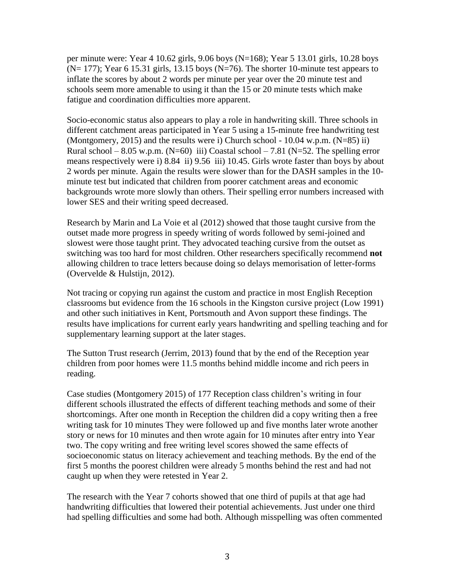per minute were: Year 4 10.62 girls, 9.06 boys (N=168); Year 5 13.01 girls, 10.28 boys  $(N= 177)$ ; Year 6 15.31 girls, 13.15 boys  $(N=76)$ . The shorter 10-minute test appears to inflate the scores by about 2 words per minute per year over the 20 minute test and schools seem more amenable to using it than the 15 or 20 minute tests which make fatigue and coordination difficulties more apparent.

Socio-economic status also appears to play a role in handwriting skill. Three schools in different catchment areas participated in Year 5 using a 15-minute free handwriting test (Montgomery, 2015) and the results were i) Church school -  $10.04$  w.p.m. (N=85) ii) Rural school – 8.05 w.p.m. (N=60) iii) Coastal school – 7.81 (N=52. The spelling error means respectively were i) 8.84 ii) 9.56 iii) 10.45. Girls wrote faster than boys by about 2 words per minute. Again the results were slower than for the DASH samples in the 10 minute test but indicated that children from poorer catchment areas and economic backgrounds wrote more slowly than others. Their spelling error numbers increased with lower SES and their writing speed decreased.

Research by Marin and La Voie et al (2012) showed that those taught cursive from the outset made more progress in speedy writing of words followed by semi-joined and slowest were those taught print. They advocated teaching cursive from the outset as switching was too hard for most children. Other researchers specifically recommend **not** allowing children to trace letters because doing so delays memorisation of letter-forms (Overvelde & Hulstijn, 2012).

Not tracing or copying run against the custom and practice in most English Reception classrooms but evidence from the 16 schools in the Kingston cursive project (Low 1991) and other such initiatives in Kent, Portsmouth and Avon support these findings. The results have implications for current early years handwriting and spelling teaching and for supplementary learning support at the later stages.

The Sutton Trust research (Jerrim, 2013) found that by the end of the Reception year children from poor homes were 11.5 months behind middle income and rich peers in reading.

Case studies (Montgomery 2015) of 177 Reception class children's writing in four different schools illustrated the effects of different teaching methods and some of their shortcomings. After one month in Reception the children did a copy writing then a free writing task for 10 minutes They were followed up and five months later wrote another story or news for 10 minutes and then wrote again for 10 minutes after entry into Year two. The copy writing and free writing level scores showed the same effects of socioeconomic status on literacy achievement and teaching methods. By the end of the first 5 months the poorest children were already 5 months behind the rest and had not caught up when they were retested in Year 2.

The research with the Year 7 cohorts showed that one third of pupils at that age had handwriting difficulties that lowered their potential achievements. Just under one third had spelling difficulties and some had both. Although misspelling was often commented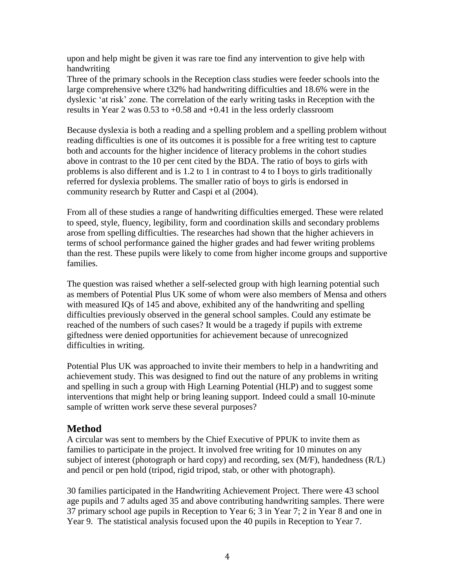upon and help might be given it was rare toe find any intervention to give help with handwriting

Three of the primary schools in the Reception class studies were feeder schools into the large comprehensive where t32% had handwriting difficulties and 18.6% were in the dyslexic 'at risk' zone. The correlation of the early writing tasks in Reception with the results in Year 2 was 0.53 to +0.58 and +0.41 in the less orderly classroom

Because dyslexia is both a reading and a spelling problem and a spelling problem without reading difficulties is one of its outcomes it is possible for a free writing test to capture both and accounts for the higher incidence of literacy problems in the cohort studies above in contrast to the 10 per cent cited by the BDA. The ratio of boys to girls with problems is also different and is 1.2 to 1 in contrast to 4 to I boys to girls traditionally referred for dyslexia problems. The smaller ratio of boys to girls is endorsed in community research by Rutter and Caspi et al (2004).

From all of these studies a range of handwriting difficulties emerged. These were related to speed, style, fluency, legibility, form and coordination skills and secondary problems arose from spelling difficulties. The researches had shown that the higher achievers in terms of school performance gained the higher grades and had fewer writing problems than the rest. These pupils were likely to come from higher income groups and supportive families.

The question was raised whether a self-selected group with high learning potential such as members of Potential Plus UK some of whom were also members of Mensa and others with measured IQs of 145 and above, exhibited any of the handwriting and spelling difficulties previously observed in the general school samples. Could any estimate be reached of the numbers of such cases? It would be a tragedy if pupils with extreme giftedness were denied opportunities for achievement because of unrecognized difficulties in writing.

Potential Plus UK was approached to invite their members to help in a handwriting and achievement study. This was designed to find out the nature of any problems in writing and spelling in such a group with High Learning Potential (HLP) and to suggest some interventions that might help or bring leaning support. Indeed could a small 10-minute sample of written work serve these several purposes?

## **Method**

A circular was sent to members by the Chief Executive of PPUK to invite them as families to participate in the project. It involved free writing for 10 minutes on any subject of interest (photograph or hard copy) and recording, sex (M/F), handedness (R/L) and pencil or pen hold (tripod, rigid tripod, stab, or other with photograph).

30 families participated in the Handwriting Achievement Project. There were 43 school age pupils and 7 adults aged 35 and above contributing handwriting samples. There were 37 primary school age pupils in Reception to Year 6; 3 in Year 7; 2 in Year 8 and one in Year 9. The statistical analysis focused upon the 40 pupils in Reception to Year 7.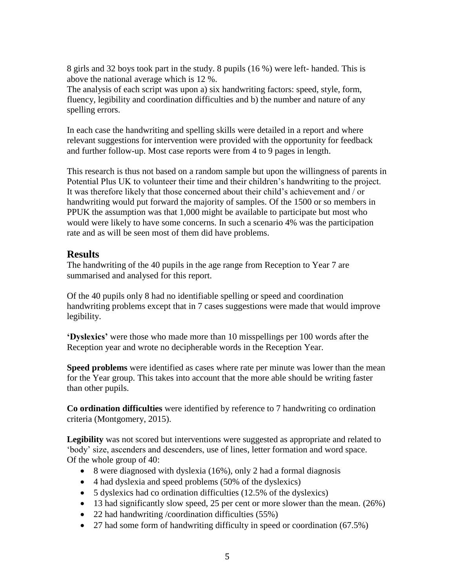8 girls and 32 boys took part in the study. 8 pupils (16 %) were left- handed. This is above the national average which is 12 %.

The analysis of each script was upon a) six handwriting factors: speed, style, form, fluency, legibility and coordination difficulties and b) the number and nature of any spelling errors.

In each case the handwriting and spelling skills were detailed in a report and where relevant suggestions for intervention were provided with the opportunity for feedback and further follow-up. Most case reports were from 4 to 9 pages in length.

This research is thus not based on a random sample but upon the willingness of parents in Potential Plus UK to volunteer their time and their children's handwriting to the project. It was therefore likely that those concerned about their child's achievement and / or handwriting would put forward the majority of samples. Of the 1500 or so members in PPUK the assumption was that 1,000 might be available to participate but most who would were likely to have some concerns. In such a scenario 4% was the participation rate and as will be seen most of them did have problems.

## **Results**

The handwriting of the 40 pupils in the age range from Reception to Year 7 are summarised and analysed for this report.

Of the 40 pupils only 8 had no identifiable spelling or speed and coordination handwriting problems except that in 7 cases suggestions were made that would improve legibility.

**'Dyslexics'** were those who made more than 10 misspellings per 100 words after the Reception year and wrote no decipherable words in the Reception Year.

**Speed problems** were identified as cases where rate per minute was lower than the mean for the Year group. This takes into account that the more able should be writing faster than other pupils.

**Co ordination difficulties** were identified by reference to 7 handwriting co ordination criteria (Montgomery, 2015).

**Legibility** was not scored but interventions were suggested as appropriate and related to 'body' size, ascenders and descenders, use of lines, letter formation and word space. Of the whole group of 40:

- $\bullet$  8 were diagnosed with dyslexia (16%), only 2 had a formal diagnosis
- 4 had dyslexia and speed problems (50% of the dyslexics)
- 5 dyslexics had co ordination difficulties (12.5% of the dyslexics)
- $\bullet$  13 had significantly slow speed, 25 per cent or more slower than the mean. (26%)
- 22 had handwriting /coordination difficulties (55%)
- 27 had some form of handwriting difficulty in speed or coordination (67.5%)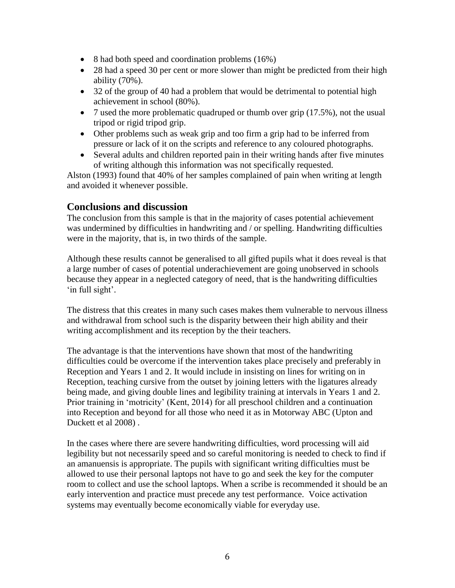- 8 had both speed and coordination problems (16%)
- 28 had a speed 30 per cent or more slower than might be predicted from their high ability (70%).
- 32 of the group of 40 had a problem that would be detrimental to potential high achievement in school (80%).
- 7 used the more problematic quadruped or thumb over grip  $(17.5\%)$ , not the usual tripod or rigid tripod grip.
- Other problems such as weak grip and too firm a grip had to be inferred from pressure or lack of it on the scripts and reference to any coloured photographs.
- Several adults and children reported pain in their writing hands after five minutes of writing although this information was not specifically requested.

Alston (1993) found that 40% of her samples complained of pain when writing at length and avoided it whenever possible.

### **Conclusions and discussion**

The conclusion from this sample is that in the majority of cases potential achievement was undermined by difficulties in handwriting and / or spelling. Handwriting difficulties were in the majority, that is, in two thirds of the sample.

Although these results cannot be generalised to all gifted pupils what it does reveal is that a large number of cases of potential underachievement are going unobserved in schools because they appear in a neglected category of need, that is the handwriting difficulties 'in full sight'.

The distress that this creates in many such cases makes them vulnerable to nervous illness and withdrawal from school such is the disparity between their high ability and their writing accomplishment and its reception by the their teachers.

The advantage is that the interventions have shown that most of the handwriting difficulties could be overcome if the intervention takes place precisely and preferably in Reception and Years 1 and 2. It would include in insisting on lines for writing on in Reception, teaching cursive from the outset by joining letters with the ligatures already being made, and giving double lines and legibility training at intervals in Years 1 and 2. Prior training in 'motricity' (Kent, 2014) for all preschool children and a continuation into Reception and beyond for all those who need it as in Motorway ABC (Upton and Duckett et al 2008) .

In the cases where there are severe handwriting difficulties, word processing will aid legibility but not necessarily speed and so careful monitoring is needed to check to find if an amanuensis is appropriate. The pupils with significant writing difficulties must be allowed to use their personal laptops not have to go and seek the key for the computer room to collect and use the school laptops. When a scribe is recommended it should be an early intervention and practice must precede any test performance. Voice activation systems may eventually become economically viable for everyday use.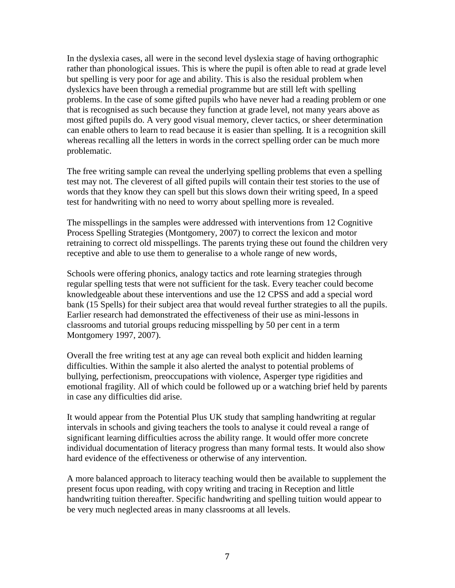In the dyslexia cases, all were in the second level dyslexia stage of having orthographic rather than phonological issues. This is where the pupil is often able to read at grade level but spelling is very poor for age and ability. This is also the residual problem when dyslexics have been through a remedial programme but are still left with spelling problems. In the case of some gifted pupils who have never had a reading problem or one that is recognised as such because they function at grade level, not many years above as most gifted pupils do. A very good visual memory, clever tactics, or sheer determination can enable others to learn to read because it is easier than spelling. It is a recognition skill whereas recalling all the letters in words in the correct spelling order can be much more problematic.

The free writing sample can reveal the underlying spelling problems that even a spelling test may not. The cleverest of all gifted pupils will contain their test stories to the use of words that they know they can spell but this slows down their writing speed, In a speed test for handwriting with no need to worry about spelling more is revealed.

The misspellings in the samples were addressed with interventions from 12 Cognitive Process Spelling Strategies (Montgomery, 2007) to correct the lexicon and motor retraining to correct old misspellings. The parents trying these out found the children very receptive and able to use them to generalise to a whole range of new words,

Schools were offering phonics, analogy tactics and rote learning strategies through regular spelling tests that were not sufficient for the task. Every teacher could become knowledgeable about these interventions and use the 12 CPSS and add a special word bank (15 Spells) for their subject area that would reveal further strategies to all the pupils. Earlier research had demonstrated the effectiveness of their use as mini-lessons in classrooms and tutorial groups reducing misspelling by 50 per cent in a term Montgomery 1997, 2007).

Overall the free writing test at any age can reveal both explicit and hidden learning difficulties. Within the sample it also alerted the analyst to potential problems of bullying, perfectionism, preoccupations with violence, Asperger type rigidities and emotional fragility. All of which could be followed up or a watching brief held by parents in case any difficulties did arise.

It would appear from the Potential Plus UK study that sampling handwriting at regular intervals in schools and giving teachers the tools to analyse it could reveal a range of significant learning difficulties across the ability range. It would offer more concrete individual documentation of literacy progress than many formal tests. It would also show hard evidence of the effectiveness or otherwise of any intervention.

A more balanced approach to literacy teaching would then be available to supplement the present focus upon reading, with copy writing and tracing in Reception and little handwriting tuition thereafter. Specific handwriting and spelling tuition would appear to be very much neglected areas in many classrooms at all levels.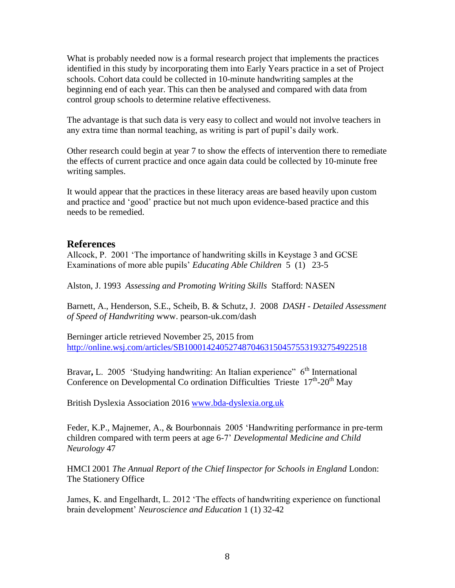What is probably needed now is a formal research project that implements the practices identified in this study by incorporating them into Early Years practice in a set of Project schools. Cohort data could be collected in 10-minute handwriting samples at the beginning end of each year. This can then be analysed and compared with data from control group schools to determine relative effectiveness.

The advantage is that such data is very easy to collect and would not involve teachers in any extra time than normal teaching, as writing is part of pupil's daily work.

Other research could begin at year 7 to show the effects of intervention there to remediate the effects of current practice and once again data could be collected by 10-minute free writing samples.

It would appear that the practices in these literacy areas are based heavily upon custom and practice and 'good' practice but not much upon evidence-based practice and this needs to be remedied.

#### **References**

Allcock, P. 2001 'The importance of handwriting skills in Keystage 3 and GCSE Examinations of more able pupils' *Educating Able Children* 5 (1) 23-5

Alston, J. 1993 *Assessing and Promoting Writing Skills* Stafford: NASEN

Barnett, A., Henderson, S.E., Scheib, B. & Schutz, J. 2008 *DASH - Detailed Assessment of Speed of Handwriting* www. pearson-uk.com/dash

Berninger article retrieved November 25, 2015 from <http://online.wsj.com/articles/SB10001424052748704631504575531932754922518>

Bravar, L. 2005 'Studying handwriting: An Italian experience" 6<sup>th</sup> International Conference on Developmental Co ordination Difficulties Trieste  $17<sup>th</sup>$ -20<sup>th</sup> May

British Dyslexia Association 2016 [www.bda-dyslexia.org.uk](http://www.bda-dyslexia.org.uk/)

Feder, K.P., Majnemer, A., & Bourbonnais 2005 'Handwriting performance in pre-term children compared with term peers at age 6-7' *Developmental Medicine and Child Neurology* 47

HMCI 2001 *The Annual Report of the Chief Iinspector for Schools in England* London: The Stationery Office

James, K. and Engelhardt, L. 2012 'The effects of handwriting experience on functional brain development' *Neuroscience and Education* 1 (1) 32-42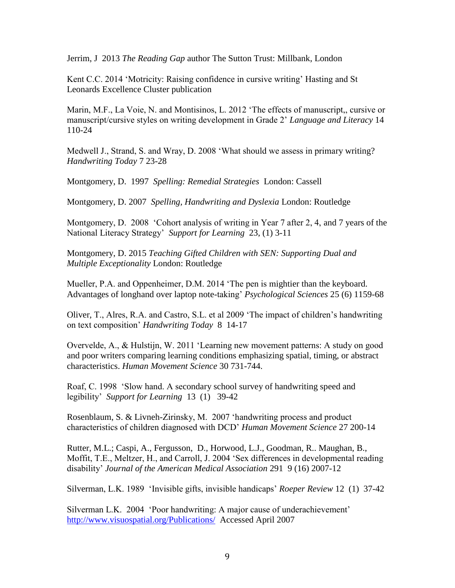Jerrim, J 2013 *The Reading Gap* author The Sutton Trust: Millbank, London

Kent C.C. 2014 'Motricity: Raising confidence in cursive writing' Hasting and St Leonards Excellence Cluster publication

Marin, M.F., La Voie, N. and Montisinos, L. 2012 'The effects of manuscript,, cursive or manuscript/cursive styles on writing development in Grade 2' *Language and Literacy* 14 110-24

Medwell J., Strand, S. and Wray, D. 2008 'What should we assess in primary writing? *Handwriting Today* 7 23-28

Montgomery, D. 1997 *Spelling: Remedial Strategies* London: Cassell

Montgomery, D. 2007 *Spelling, Handwriting and Dyslexia* London: Routledge

Montgomery, D. 2008 'Cohort analysis of writing in Year 7 after 2, 4, and 7 years of the National Literacy Strategy' *Support for Learning* 23, (1) 3-11

Montgomery, D. 2015 *Teaching Gifted Children with SEN: Supporting Dual and Multiple Exceptionality* London: Routledge

Mueller, P.A. and Oppenheimer, D.M. 2014 'The pen is mightier than the keyboard. Advantages of longhand over laptop note-taking' *Psychological Sciences* 25 (6) 1159-68

Oliver, T., Alres, R.A. and Castro, S.L. et al 2009 'The impact of children's handwriting on text composition' *Handwriting Today* 8 14-17

Overvelde, A., & Hulstijn, W. 2011 'Learning new movement patterns: A study on good and poor writers comparing learning conditions emphasizing spatial, timing, or abstract characteristics. *Human Movement Science* 30 731-744.

Roaf, C. 1998 'Slow hand. A secondary school survey of handwriting speed and legibility' *Support for Learning* 13 (1) 39-42

Rosenblaum, S. & Livneh-Zirinsky, M. 2007 'handwriting process and product characteristics of children diagnosed with DCD' *Human Movement Science* 27 200-14

Rutter, M.L.; Caspi, A., Fergusson, D., Horwood, L.J., Goodman, R.. Maughan, B., Moffit, T.E., Meltzer, H., and Carroll, J. 2004 'Sex differences in developmental reading disability' *Journal of the American Medical Association* 291 9 (16) 2007-12

Silverman, L.K. 1989 'Invisible gifts, invisible handicaps' *Roeper Review* 12 (1) 37-42

Silverman L.K. 2004 'Poor handwriting: A major cause of underachievement' <http://www.visuospatial.org/Publications/>Accessed April 2007